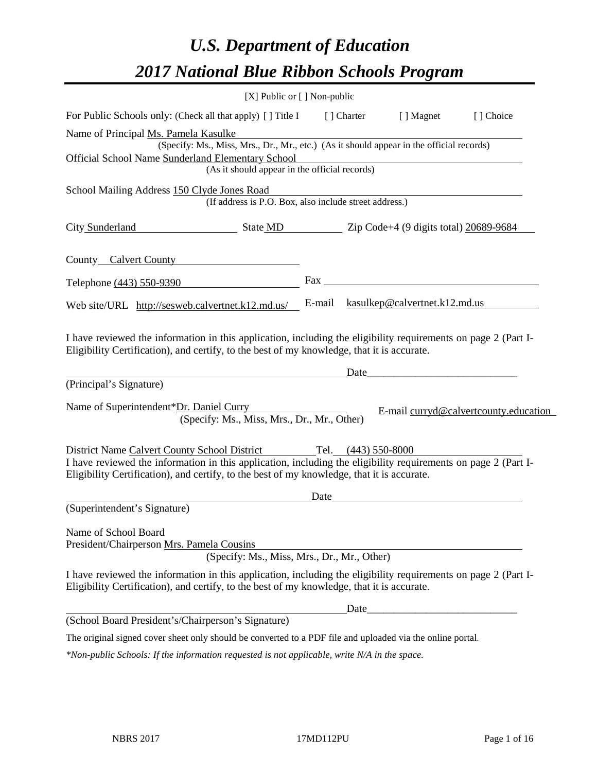# *U.S. Department of Education 2017 National Blue Ribbon Schools Program*

|                                                                                                                                                                                                                                                                                  | [X] Public or [] Non-public |             |                                                                                                                                                                                                                                |                                       |
|----------------------------------------------------------------------------------------------------------------------------------------------------------------------------------------------------------------------------------------------------------------------------------|-----------------------------|-------------|--------------------------------------------------------------------------------------------------------------------------------------------------------------------------------------------------------------------------------|---------------------------------------|
| For Public Schools only: (Check all that apply) [] Title I                                                                                                                                                                                                                       |                             | [ ] Charter | [ ] Magnet                                                                                                                                                                                                                     | [] Choice                             |
| Name of Principal Ms. Pamela Kasulke<br>(Specify: Ms., Miss, Mrs., Dr., Mr., etc.) (As it should appear in the official records)                                                                                                                                                 |                             |             |                                                                                                                                                                                                                                |                                       |
| Official School Name Sunderland Elementary School<br>(As it should appear in the official records)                                                                                                                                                                               |                             |             |                                                                                                                                                                                                                                |                                       |
| School Mailing Address 150 Clyde Jones Road<br>(If address is P.O. Box, also include street address.)                                                                                                                                                                            |                             |             |                                                                                                                                                                                                                                |                                       |
| City Sunderland State MD Zip Code+4 (9 digits total) 20689-9684                                                                                                                                                                                                                  |                             |             |                                                                                                                                                                                                                                |                                       |
| County Calvert County                                                                                                                                                                                                                                                            |                             |             |                                                                                                                                                                                                                                |                                       |
| Telephone (443) 550-9390                                                                                                                                                                                                                                                         |                             |             |                                                                                                                                                                                                                                |                                       |
| Web site/URL http://sesweb.calvertnet.k12.md.us/                                                                                                                                                                                                                                 |                             |             | E-mail kasulkep@calvertnet.k12.md.us                                                                                                                                                                                           |                                       |
| I have reviewed the information in this application, including the eligibility requirements on page 2 (Part I-<br>Eligibility Certification), and certify, to the best of my knowledge, that it is accurate.                                                                     |                             | Date        |                                                                                                                                                                                                                                |                                       |
| (Principal's Signature)                                                                                                                                                                                                                                                          |                             |             |                                                                                                                                                                                                                                |                                       |
| Name of Superintendent*Dr. Daniel Curry<br>(Specify: Ms., Miss, Mrs., Dr., Mr., Other)                                                                                                                                                                                           |                             |             |                                                                                                                                                                                                                                | E-mail curryd@calvertcounty.education |
| District Name Calvert County School District Tel. (443) 550-8000<br>I have reviewed the information in this application, including the eligibility requirements on page 2 (Part I-<br>Eligibility Certification), and certify, to the best of my knowledge, that it is accurate. |                             |             |                                                                                                                                                                                                                                |                                       |
|                                                                                                                                                                                                                                                                                  |                             |             | Date and the contract of the contract of the contract of the contract of the contract of the contract of the contract of the contract of the contract of the contract of the contract of the contract of the contract of the c |                                       |
| (Superintendent's Signature)                                                                                                                                                                                                                                                     |                             |             |                                                                                                                                                                                                                                |                                       |
| Name of School Board<br>President/Chairperson Mrs. Pamela Cousins<br>(Specify: Ms., Miss, Mrs., Dr., Mr., Other)                                                                                                                                                                 |                             |             |                                                                                                                                                                                                                                |                                       |
| I have reviewed the information in this application, including the eligibility requirements on page 2 (Part I-<br>Eligibility Certification), and certify, to the best of my knowledge, that it is accurate.                                                                     |                             |             |                                                                                                                                                                                                                                |                                       |
|                                                                                                                                                                                                                                                                                  |                             | Date        |                                                                                                                                                                                                                                |                                       |
| (School Board President's/Chairperson's Signature)                                                                                                                                                                                                                               |                             |             |                                                                                                                                                                                                                                |                                       |
| The original signed cover sheet only should be converted to a PDF file and uploaded via the online portal.                                                                                                                                                                       |                             |             |                                                                                                                                                                                                                                |                                       |

*\*Non-public Schools: If the information requested is not applicable, write N/A in the space.*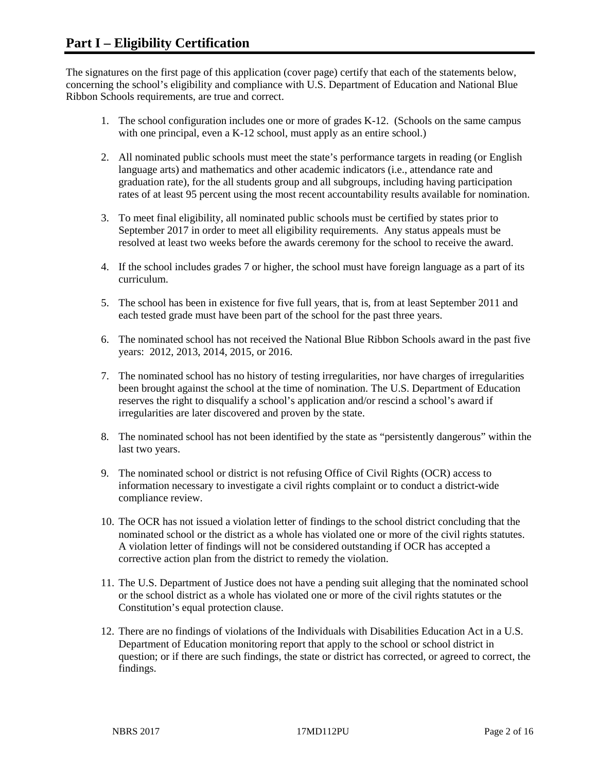The signatures on the first page of this application (cover page) certify that each of the statements below, concerning the school's eligibility and compliance with U.S. Department of Education and National Blue Ribbon Schools requirements, are true and correct.

- 1. The school configuration includes one or more of grades K-12. (Schools on the same campus with one principal, even a K-12 school, must apply as an entire school.)
- 2. All nominated public schools must meet the state's performance targets in reading (or English language arts) and mathematics and other academic indicators (i.e., attendance rate and graduation rate), for the all students group and all subgroups, including having participation rates of at least 95 percent using the most recent accountability results available for nomination.
- 3. To meet final eligibility, all nominated public schools must be certified by states prior to September 2017 in order to meet all eligibility requirements. Any status appeals must be resolved at least two weeks before the awards ceremony for the school to receive the award.
- 4. If the school includes grades 7 or higher, the school must have foreign language as a part of its curriculum.
- 5. The school has been in existence for five full years, that is, from at least September 2011 and each tested grade must have been part of the school for the past three years.
- 6. The nominated school has not received the National Blue Ribbon Schools award in the past five years: 2012, 2013, 2014, 2015, or 2016.
- 7. The nominated school has no history of testing irregularities, nor have charges of irregularities been brought against the school at the time of nomination. The U.S. Department of Education reserves the right to disqualify a school's application and/or rescind a school's award if irregularities are later discovered and proven by the state.
- 8. The nominated school has not been identified by the state as "persistently dangerous" within the last two years.
- 9. The nominated school or district is not refusing Office of Civil Rights (OCR) access to information necessary to investigate a civil rights complaint or to conduct a district-wide compliance review.
- 10. The OCR has not issued a violation letter of findings to the school district concluding that the nominated school or the district as a whole has violated one or more of the civil rights statutes. A violation letter of findings will not be considered outstanding if OCR has accepted a corrective action plan from the district to remedy the violation.
- 11. The U.S. Department of Justice does not have a pending suit alleging that the nominated school or the school district as a whole has violated one or more of the civil rights statutes or the Constitution's equal protection clause.
- 12. There are no findings of violations of the Individuals with Disabilities Education Act in a U.S. Department of Education monitoring report that apply to the school or school district in question; or if there are such findings, the state or district has corrected, or agreed to correct, the findings.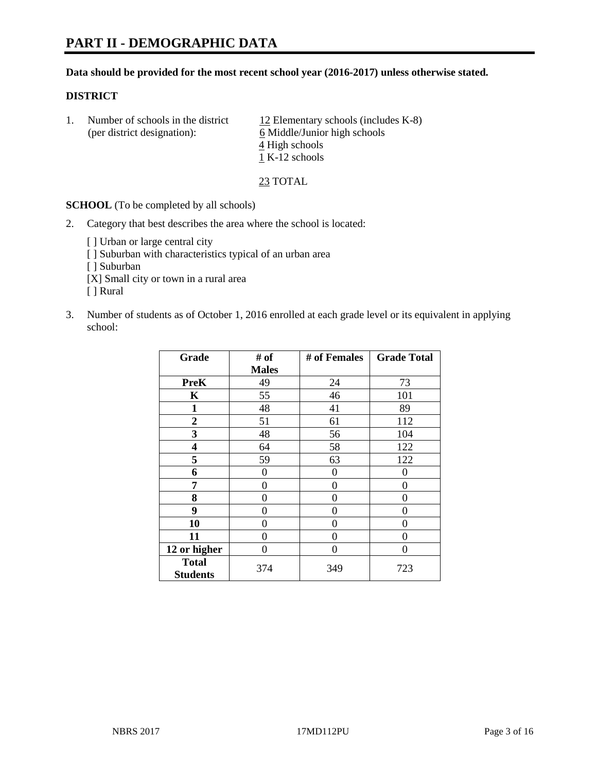#### **Data should be provided for the most recent school year (2016-2017) unless otherwise stated.**

#### **DISTRICT**

| Number of schools in the district<br>(per district designation): |                | 12 Elementary schools (includes $K-8$ )<br>6 Middle/Junior high schools |
|------------------------------------------------------------------|----------------|-------------------------------------------------------------------------|
|                                                                  |                | 4 High schools                                                          |
|                                                                  | 1 K-12 schools |                                                                         |

23 TOTAL

**SCHOOL** (To be completed by all schools)

- 2. Category that best describes the area where the school is located:
	- [] Urban or large central city [ ] Suburban with characteristics typical of an urban area [ ] Suburban [X] Small city or town in a rural area [ ] Rural
- 3. Number of students as of October 1, 2016 enrolled at each grade level or its equivalent in applying school:

| Grade                           | # of         | # of Females | <b>Grade Total</b> |
|---------------------------------|--------------|--------------|--------------------|
|                                 | <b>Males</b> |              |                    |
| <b>PreK</b>                     | 49           | 24           | 73                 |
| K                               | 55           | 46           | 101                |
| 1                               | 48           | 41           | 89                 |
| $\overline{2}$                  | 51           | 61           | 112                |
| 3                               | 48           | 56           | 104                |
| 4                               | 64           | 58           | 122                |
| 5                               | 59           | 63           | 122                |
| 6                               | 0            | 0            | 0                  |
| 7                               | 0            | $\theta$     | 0                  |
| 8                               | 0            | $\theta$     | 0                  |
| 9                               | 0            | 0            | 0                  |
| 10                              | 0            | 0            | $\theta$           |
| 11                              | 0            | 0            | 0                  |
| 12 or higher                    | 0            | 0            | $\Omega$           |
| <b>Total</b><br><b>Students</b> | 374          | 349          | 723                |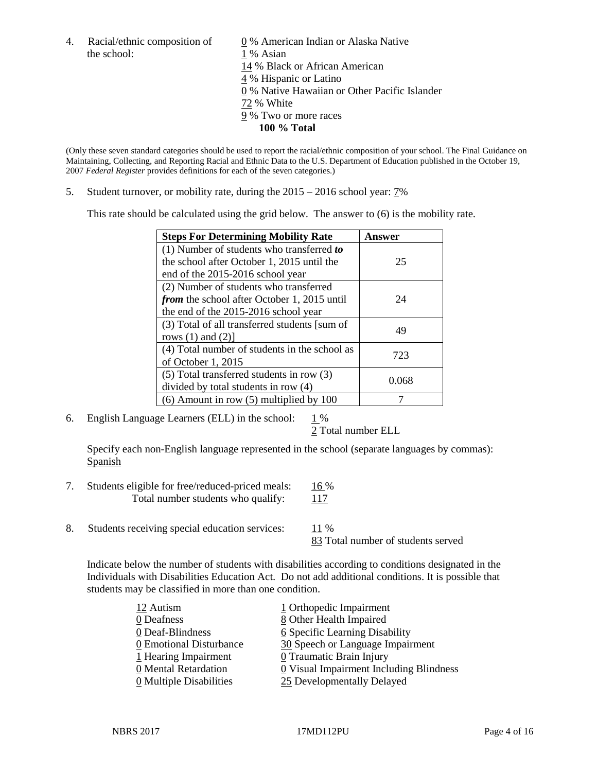the school: 1 % Asian

4. Racial/ethnic composition of  $\qquad 0 \%$  American Indian or Alaska Native 14 % Black or African American 4 % Hispanic or Latino 0 % Native Hawaiian or Other Pacific Islander 72 % White 9 % Two or more races **100 % Total**

(Only these seven standard categories should be used to report the racial/ethnic composition of your school. The Final Guidance on Maintaining, Collecting, and Reporting Racial and Ethnic Data to the U.S. Department of Education published in the October 19, 2007 *Federal Register* provides definitions for each of the seven categories.)

5. Student turnover, or mobility rate, during the 2015 – 2016 school year: 7%

This rate should be calculated using the grid below. The answer to (6) is the mobility rate.

| <b>Steps For Determining Mobility Rate</b>         | Answer |
|----------------------------------------------------|--------|
| (1) Number of students who transferred to          |        |
| the school after October 1, 2015 until the         | 25     |
| end of the 2015-2016 school year                   |        |
| (2) Number of students who transferred             |        |
| <i>from</i> the school after October 1, 2015 until | 24     |
| the end of the 2015-2016 school year               |        |
| (3) Total of all transferred students [sum of      | 49     |
| rows $(1)$ and $(2)$ ]                             |        |
| (4) Total number of students in the school as      | 723    |
| of October 1, 2015                                 |        |
| $(5)$ Total transferred students in row $(3)$      | 0.068  |
| divided by total students in row (4)               |        |
| $(6)$ Amount in row $(5)$ multiplied by 100        |        |

6. English Language Learners (ELL) in the school:  $1\%$ 

2 Total number ELL

Specify each non-English language represented in the school (separate languages by commas): **Spanish** 

- 7. Students eligible for free/reduced-priced meals: 16 % Total number students who qualify: 117
- 8. Students receiving special education services: 11 %

83 Total number of students served

Indicate below the number of students with disabilities according to conditions designated in the Individuals with Disabilities Education Act. Do not add additional conditions. It is possible that students may be classified in more than one condition.

| 12 Autism                             | 1 Orthopedic Impairment                 |
|---------------------------------------|-----------------------------------------|
| 0 Deafness                            | 8 Other Health Impaired                 |
| 0 Deaf-Blindness                      | 6 Specific Learning Disability          |
| 0 Emotional Disturbance               | 30 Speech or Language Impairment        |
| 1 Hearing Impairment                  | 0 Traumatic Brain Injury                |
| 0 Mental Retardation                  | 0 Visual Impairment Including Blindness |
| $\underline{0}$ Multiple Disabilities | 25 Developmentally Delayed              |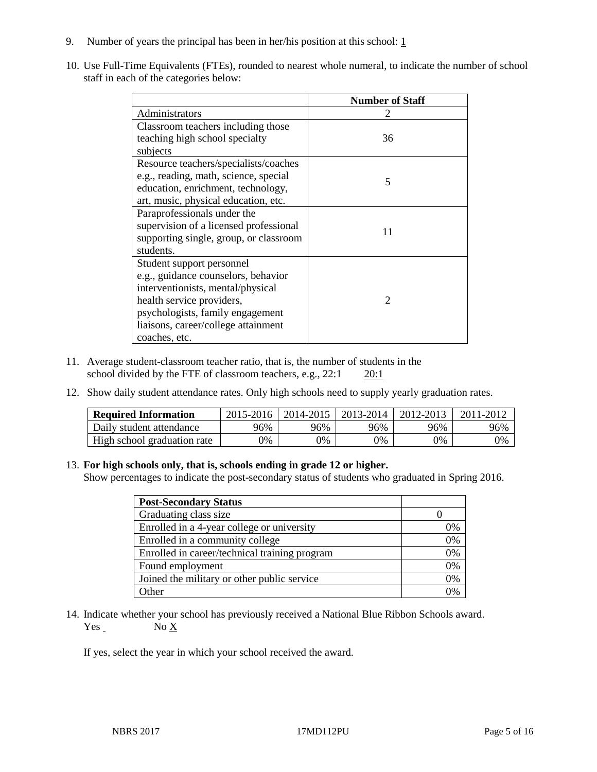- 9. Number of years the principal has been in her/his position at this school:  $1$
- 10. Use Full-Time Equivalents (FTEs), rounded to nearest whole numeral, to indicate the number of school staff in each of the categories below:

|                                        | <b>Number of Staff</b> |
|----------------------------------------|------------------------|
| Administrators                         |                        |
| Classroom teachers including those     |                        |
| teaching high school specialty         | 36                     |
| subjects                               |                        |
| Resource teachers/specialists/coaches  |                        |
| e.g., reading, math, science, special  | 5                      |
| education, enrichment, technology,     |                        |
| art, music, physical education, etc.   |                        |
| Paraprofessionals under the            |                        |
| supervision of a licensed professional | 11                     |
| supporting single, group, or classroom |                        |
| students.                              |                        |
| Student support personnel              |                        |
| e.g., guidance counselors, behavior    |                        |
| interventionists, mental/physical      |                        |
| health service providers,              | $\mathcal{D}$          |
| psychologists, family engagement       |                        |
| liaisons, career/college attainment    |                        |
| coaches, etc.                          |                        |

- 11. Average student-classroom teacher ratio, that is, the number of students in the school divided by the FTE of classroom teachers, e.g.,  $22:1$   $20:1$
- 12. Show daily student attendance rates. Only high schools need to supply yearly graduation rates.

| <b>Required Information</b> | 2015-2016 | 2014-2015 | 2013-2014 | 2012-2013 | 2011-2012 |
|-----------------------------|-----------|-----------|-----------|-----------|-----------|
| Daily student attendance    | 96%       | 96%       | 96%       | 96%       | 96%       |
| High school graduation rate | 0%        | 0%        | 0%        | 9%        | 0%        |

#### 13. **For high schools only, that is, schools ending in grade 12 or higher.**

Show percentages to indicate the post-secondary status of students who graduated in Spring 2016.

| <b>Post-Secondary Status</b>                  |    |
|-----------------------------------------------|----|
| Graduating class size                         |    |
| Enrolled in a 4-year college or university    | 0% |
| Enrolled in a community college               | 0% |
| Enrolled in career/technical training program | 0% |
| Found employment                              | 0% |
| Joined the military or other public service   | 0% |
| Other                                         | በ% |

14. Indicate whether your school has previously received a National Blue Ribbon Schools award.  $Yes$  No  $X$ 

If yes, select the year in which your school received the award.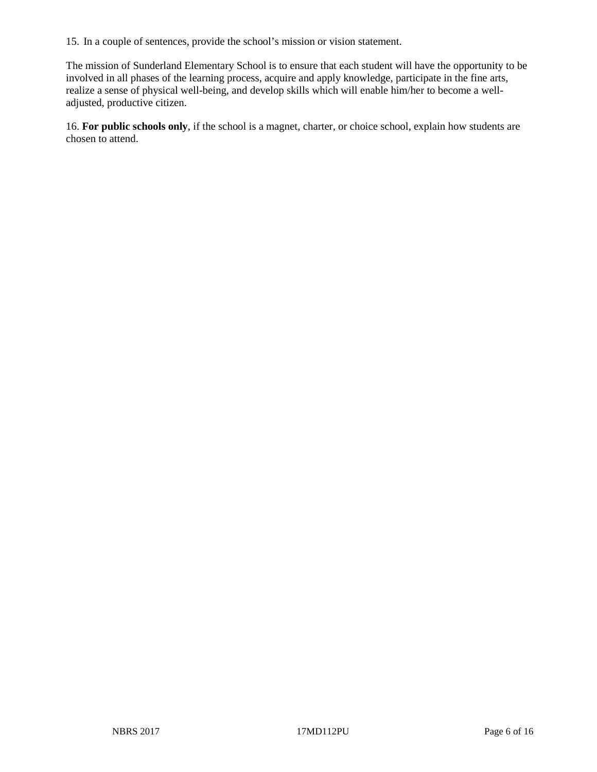15. In a couple of sentences, provide the school's mission or vision statement.

The mission of Sunderland Elementary School is to ensure that each student will have the opportunity to be involved in all phases of the learning process, acquire and apply knowledge, participate in the fine arts, realize a sense of physical well-being, and develop skills which will enable him/her to become a welladjusted, productive citizen.

16. **For public schools only**, if the school is a magnet, charter, or choice school, explain how students are chosen to attend.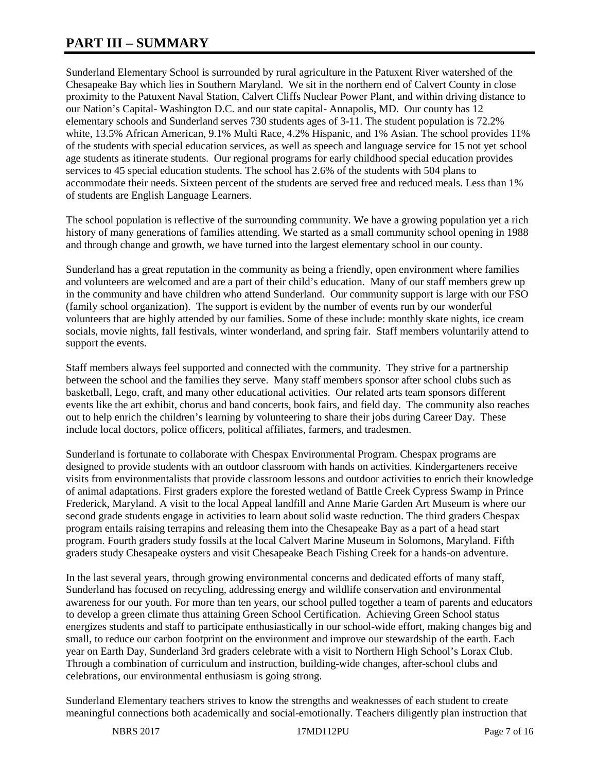# **PART III – SUMMARY**

Sunderland Elementary School is surrounded by rural agriculture in the Patuxent River watershed of the Chesapeake Bay which lies in Southern Maryland. We sit in the northern end of Calvert County in close proximity to the Patuxent Naval Station, Calvert Cliffs Nuclear Power Plant, and within driving distance to our Nation's Capital- Washington D.C. and our state capital- Annapolis, MD. Our county has 12 elementary schools and Sunderland serves 730 students ages of 3-11. The student population is 72.2% white, 13.5% African American, 9.1% Multi Race, 4.2% Hispanic, and 1% Asian. The school provides 11% of the students with special education services, as well as speech and language service for 15 not yet school age students as itinerate students. Our regional programs for early childhood special education provides services to 45 special education students. The school has 2.6% of the students with 504 plans to accommodate their needs. Sixteen percent of the students are served free and reduced meals. Less than 1% of students are English Language Learners.

The school population is reflective of the surrounding community. We have a growing population yet a rich history of many generations of families attending. We started as a small community school opening in 1988 and through change and growth, we have turned into the largest elementary school in our county.

Sunderland has a great reputation in the community as being a friendly, open environment where families and volunteers are welcomed and are a part of their child's education. Many of our staff members grew up in the community and have children who attend Sunderland. Our community support is large with our FSO (family school organization). The support is evident by the number of events run by our wonderful volunteers that are highly attended by our families. Some of these include: monthly skate nights, ice cream socials, movie nights, fall festivals, winter wonderland, and spring fair. Staff members voluntarily attend to support the events.

Staff members always feel supported and connected with the community. They strive for a partnership between the school and the families they serve. Many staff members sponsor after school clubs such as basketball, Lego, craft, and many other educational activities. Our related arts team sponsors different events like the art exhibit, chorus and band concerts, book fairs, and field day. The community also reaches out to help enrich the children's learning by volunteering to share their jobs during Career Day. These include local doctors, police officers, political affiliates, farmers, and tradesmen.

Sunderland is fortunate to collaborate with Chespax Environmental Program. Chespax programs are designed to provide students with an outdoor classroom with hands on activities. Kindergarteners receive visits from environmentalists that provide classroom lessons and outdoor activities to enrich their knowledge of animal adaptations. First graders explore the forested wetland of Battle Creek Cypress Swamp in Prince Frederick, Maryland. A visit to the local Appeal landfill and Anne Marie Garden Art Museum is where our second grade students engage in activities to learn about solid waste reduction. The third graders Chespax program entails raising terrapins and releasing them into the Chesapeake Bay as a part of a head start program. Fourth graders study fossils at the local Calvert Marine Museum in Solomons, Maryland. Fifth graders study Chesapeake oysters and visit Chesapeake Beach Fishing Creek for a hands-on adventure.

In the last several years, through growing environmental concerns and dedicated efforts of many staff, Sunderland has focused on recycling, addressing energy and wildlife conservation and environmental awareness for our youth. For more than ten years, our school pulled together a team of parents and educators to develop a green climate thus attaining Green School Certification. Achieving Green School status energizes students and staff to participate enthusiastically in our school-wide effort, making changes big and small, to reduce our carbon footprint on the environment and improve our stewardship of the earth. Each year on Earth Day, Sunderland 3rd graders celebrate with a visit to Northern High School's Lorax Club. Through a combination of curriculum and instruction, building-wide changes, after-school clubs and celebrations, our environmental enthusiasm is going strong.

Sunderland Elementary teachers strives to know the strengths and weaknesses of each student to create meaningful connections both academically and social-emotionally. Teachers diligently plan instruction that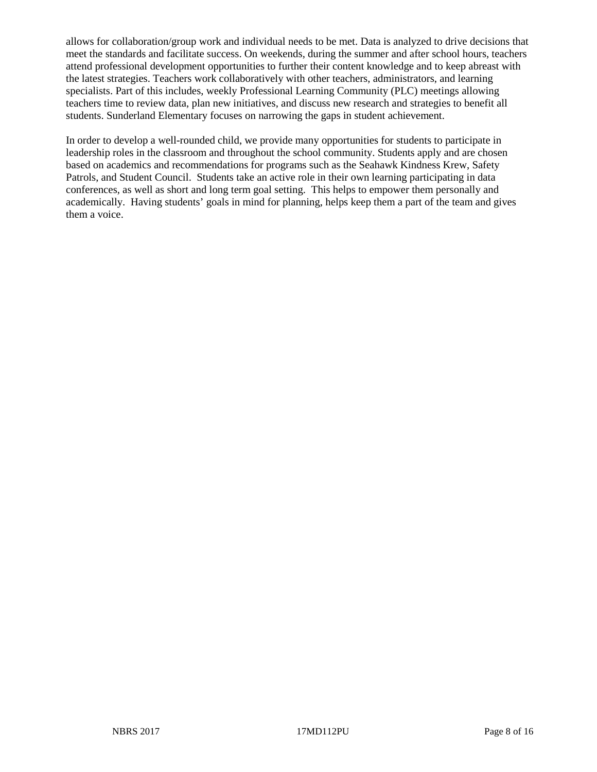allows for collaboration/group work and individual needs to be met. Data is analyzed to drive decisions that meet the standards and facilitate success. On weekends, during the summer and after school hours, teachers attend professional development opportunities to further their content knowledge and to keep abreast with the latest strategies. Teachers work collaboratively with other teachers, administrators, and learning specialists. Part of this includes, weekly Professional Learning Community (PLC) meetings allowing teachers time to review data, plan new initiatives, and discuss new research and strategies to benefit all students. Sunderland Elementary focuses on narrowing the gaps in student achievement.

In order to develop a well-rounded child, we provide many opportunities for students to participate in leadership roles in the classroom and throughout the school community. Students apply and are chosen based on academics and recommendations for programs such as the Seahawk Kindness Krew, Safety Patrols, and Student Council. Students take an active role in their own learning participating in data conferences, as well as short and long term goal setting. This helps to empower them personally and academically. Having students' goals in mind for planning, helps keep them a part of the team and gives them a voice.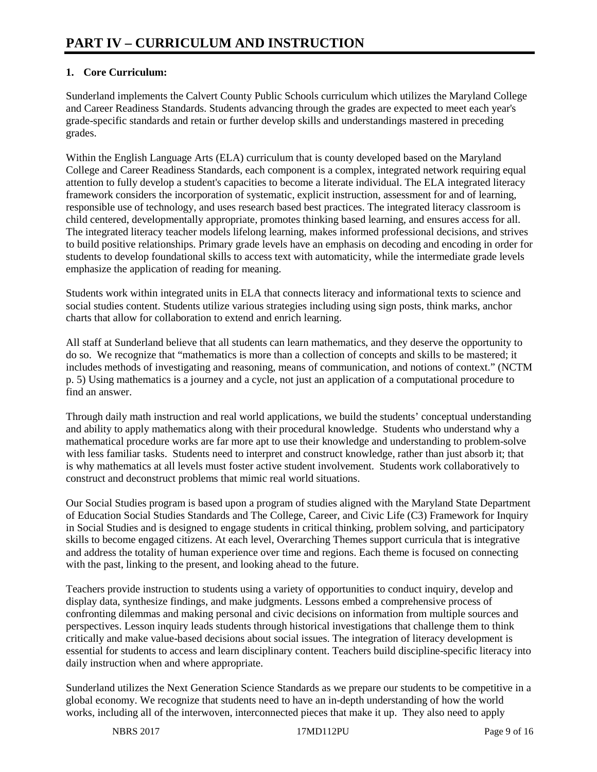# **1. Core Curriculum:**

Sunderland implements the Calvert County Public Schools curriculum which utilizes the Maryland College and Career Readiness Standards. Students advancing through the grades are expected to meet each year's grade-specific standards and retain or further develop skills and understandings mastered in preceding grades.

Within the English Language Arts (ELA) curriculum that is county developed based on the Maryland College and Career Readiness Standards, each component is a complex, integrated network requiring equal attention to fully develop a student's capacities to become a literate individual. The ELA integrated literacy framework considers the incorporation of systematic, explicit instruction, assessment for and of learning, responsible use of technology, and uses research based best practices. The integrated literacy classroom is child centered, developmentally appropriate, promotes thinking based learning, and ensures access for all. The integrated literacy teacher models lifelong learning, makes informed professional decisions, and strives to build positive relationships. Primary grade levels have an emphasis on decoding and encoding in order for students to develop foundational skills to access text with automaticity, while the intermediate grade levels emphasize the application of reading for meaning.

Students work within integrated units in ELA that connects literacy and informational texts to science and social studies content. Students utilize various strategies including using sign posts, think marks, anchor charts that allow for collaboration to extend and enrich learning.

All staff at Sunderland believe that all students can learn mathematics, and they deserve the opportunity to do so. We recognize that "mathematics is more than a collection of concepts and skills to be mastered; it includes methods of investigating and reasoning, means of communication, and notions of context." (NCTM p. 5) Using mathematics is a journey and a cycle, not just an application of a computational procedure to find an answer.

Through daily math instruction and real world applications, we build the students' conceptual understanding and ability to apply mathematics along with their procedural knowledge. Students who understand why a mathematical procedure works are far more apt to use their knowledge and understanding to problem-solve with less familiar tasks. Students need to interpret and construct knowledge, rather than just absorb it; that is why mathematics at all levels must foster active student involvement. Students work collaboratively to construct and deconstruct problems that mimic real world situations.

Our Social Studies program is based upon a program of studies aligned with the Maryland State Department of Education Social Studies Standards and The College, Career, and Civic Life (C3) Framework for Inquiry in Social Studies and is designed to engage students in critical thinking, problem solving, and participatory skills to become engaged citizens. At each level, Overarching Themes support curricula that is integrative and address the totality of human experience over time and regions. Each theme is focused on connecting with the past, linking to the present, and looking ahead to the future.

Teachers provide instruction to students using a variety of opportunities to conduct inquiry, develop and display data, synthesize findings, and make judgments. Lessons embed a comprehensive process of confronting dilemmas and making personal and civic decisions on information from multiple sources and perspectives. Lesson inquiry leads students through historical investigations that challenge them to think critically and make value-based decisions about social issues. The integration of literacy development is essential for students to access and learn disciplinary content. Teachers build discipline-specific literacy into daily instruction when and where appropriate.

Sunderland utilizes the Next Generation Science Standards as we prepare our students to be competitive in a global economy. We recognize that students need to have an in-depth understanding of how the world works, including all of the interwoven, interconnected pieces that make it up. They also need to apply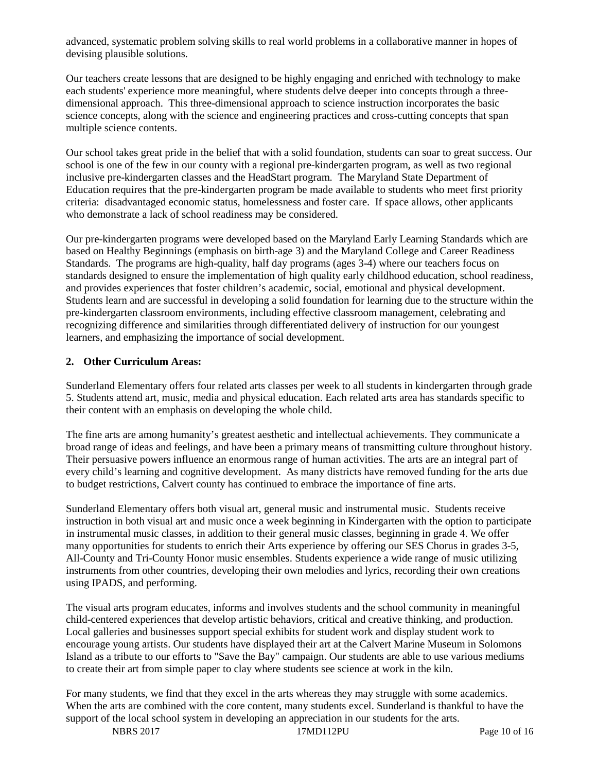advanced, systematic problem solving skills to real world problems in a collaborative manner in hopes of devising plausible solutions.

Our teachers create lessons that are designed to be highly engaging and enriched with technology to make each students' experience more meaningful, where students delve deeper into concepts through a threedimensional approach. This three-dimensional approach to science instruction incorporates the basic science concepts, along with the science and engineering practices and cross-cutting concepts that span multiple science contents.

Our school takes great pride in the belief that with a solid foundation, students can soar to great success. Our school is one of the few in our county with a regional pre-kindergarten program, as well as two regional inclusive pre-kindergarten classes and the HeadStart program. The Maryland State Department of Education requires that the pre-kindergarten program be made available to students who meet first priority criteria: disadvantaged economic status, homelessness and foster care. If space allows, other applicants who demonstrate a lack of school readiness may be considered.

Our pre-kindergarten programs were developed based on the Maryland Early Learning Standards which are based on Healthy Beginnings (emphasis on birth-age 3) and the Maryland College and Career Readiness Standards. The programs are high-quality, half day programs (ages 3-4) where our teachers focus on standards designed to ensure the implementation of high quality early childhood education, school readiness, and provides experiences that foster children's academic, social, emotional and physical development. Students learn and are successful in developing a solid foundation for learning due to the structure within the pre-kindergarten classroom environments, including effective classroom management, celebrating and recognizing difference and similarities through differentiated delivery of instruction for our youngest learners, and emphasizing the importance of social development.

#### **2. Other Curriculum Areas:**

Sunderland Elementary offers four related arts classes per week to all students in kindergarten through grade 5. Students attend art, music, media and physical education. Each related arts area has standards specific to their content with an emphasis on developing the whole child.

The fine arts are among humanity's greatest aesthetic and intellectual achievements. They communicate a broad range of ideas and feelings, and have been a primary means of transmitting culture throughout history. Their persuasive powers influence an enormous range of human activities. The arts are an integral part of every child's learning and cognitive development. As many districts have removed funding for the arts due to budget restrictions, Calvert county has continued to embrace the importance of fine arts.

Sunderland Elementary offers both visual art, general music and instrumental music. Students receive instruction in both visual art and music once a week beginning in Kindergarten with the option to participate in instrumental music classes, in addition to their general music classes, beginning in grade 4. We offer many opportunities for students to enrich their Arts experience by offering our SES Chorus in grades 3-5, All-County and Tri-County Honor music ensembles. Students experience a wide range of music utilizing instruments from other countries, developing their own melodies and lyrics, recording their own creations using IPADS, and performing.

The visual arts program educates, informs and involves students and the school community in meaningful child-centered experiences that develop artistic behaviors, critical and creative thinking, and production. Local galleries and businesses support special exhibits for student work and display student work to encourage young artists. Our students have displayed their art at the Calvert Marine Museum in Solomons Island as a tribute to our efforts to "Save the Bay" campaign. Our students are able to use various mediums to create their art from simple paper to clay where students see science at work in the kiln.

For many students, we find that they excel in the arts whereas they may struggle with some academics. When the arts are combined with the core content, many students excel. Sunderland is thankful to have the support of the local school system in developing an appreciation in our students for the arts.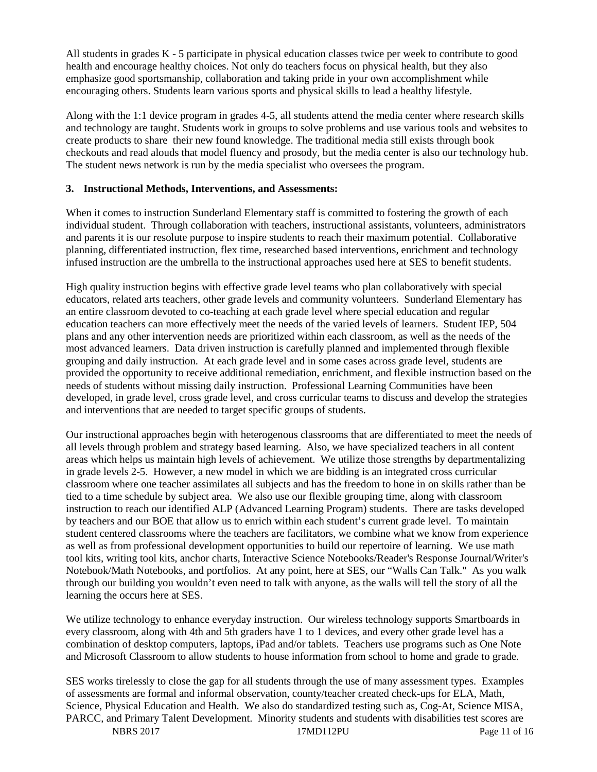All students in grades K - 5 participate in physical education classes twice per week to contribute to good health and encourage healthy choices. Not only do teachers focus on physical health, but they also emphasize good sportsmanship, collaboration and taking pride in your own accomplishment while encouraging others. Students learn various sports and physical skills to lead a healthy lifestyle.

Along with the 1:1 device program in grades 4-5, all students attend the media center where research skills and technology are taught. Students work in groups to solve problems and use various tools and websites to create products to share their new found knowledge. The traditional media still exists through book checkouts and read alouds that model fluency and prosody, but the media center is also our technology hub. The student news network is run by the media specialist who oversees the program.

#### **3. Instructional Methods, Interventions, and Assessments:**

When it comes to instruction Sunderland Elementary staff is committed to fostering the growth of each individual student. Through collaboration with teachers, instructional assistants, volunteers, administrators and parents it is our resolute purpose to inspire students to reach their maximum potential. Collaborative planning, differentiated instruction, flex time, researched based interventions, enrichment and technology infused instruction are the umbrella to the instructional approaches used here at SES to benefit students.

High quality instruction begins with effective grade level teams who plan collaboratively with special educators, related arts teachers, other grade levels and community volunteers. Sunderland Elementary has an entire classroom devoted to co-teaching at each grade level where special education and regular education teachers can more effectively meet the needs of the varied levels of learners. Student IEP, 504 plans and any other intervention needs are prioritized within each classroom, as well as the needs of the most advanced learners. Data driven instruction is carefully planned and implemented through flexible grouping and daily instruction. At each grade level and in some cases across grade level, students are provided the opportunity to receive additional remediation, enrichment, and flexible instruction based on the needs of students without missing daily instruction. Professional Learning Communities have been developed, in grade level, cross grade level, and cross curricular teams to discuss and develop the strategies and interventions that are needed to target specific groups of students.

Our instructional approaches begin with heterogenous classrooms that are differentiated to meet the needs of all levels through problem and strategy based learning. Also, we have specialized teachers in all content areas which helps us maintain high levels of achievement. We utilize those strengths by departmentalizing in grade levels 2-5. However, a new model in which we are bidding is an integrated cross curricular classroom where one teacher assimilates all subjects and has the freedom to hone in on skills rather than be tied to a time schedule by subject area. We also use our flexible grouping time, along with classroom instruction to reach our identified ALP (Advanced Learning Program) students. There are tasks developed by teachers and our BOE that allow us to enrich within each student's current grade level. To maintain student centered classrooms where the teachers are facilitators, we combine what we know from experience as well as from professional development opportunities to build our repertoire of learning. We use math tool kits, writing tool kits, anchor charts, Interactive Science Notebooks/Reader's Response Journal/Writer's Notebook/Math Notebooks, and portfolios. At any point, here at SES, our "Walls Can Talk." As you walk through our building you wouldn't even need to talk with anyone, as the walls will tell the story of all the learning the occurs here at SES.

We utilize technology to enhance everyday instruction. Our wireless technology supports Smartboards in every classroom, along with 4th and 5th graders have 1 to 1 devices, and every other grade level has a combination of desktop computers, laptops, iPad and/or tablets. Teachers use programs such as One Note and Microsoft Classroom to allow students to house information from school to home and grade to grade.

NBRS 2017 17MD112PU Page 11 of 16 SES works tirelessly to close the gap for all students through the use of many assessment types. Examples of assessments are formal and informal observation, county/teacher created check-ups for ELA, Math, Science, Physical Education and Health. We also do standardized testing such as, Cog-At, Science MISA, PARCC, and Primary Talent Development. Minority students and students with disabilities test scores are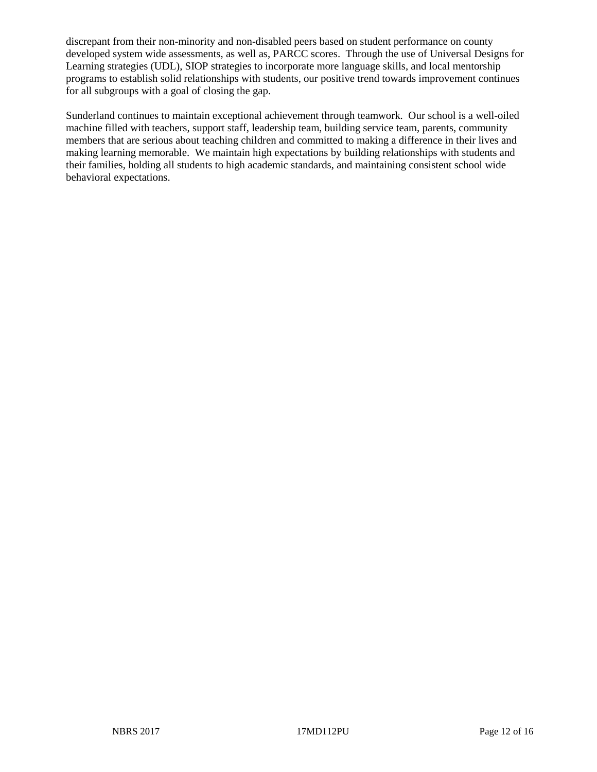discrepant from their non-minority and non-disabled peers based on student performance on county developed system wide assessments, as well as, PARCC scores. Through the use of Universal Designs for Learning strategies (UDL), SIOP strategies to incorporate more language skills, and local mentorship programs to establish solid relationships with students, our positive trend towards improvement continues for all subgroups with a goal of closing the gap.

Sunderland continues to maintain exceptional achievement through teamwork. Our school is a well-oiled machine filled with teachers, support staff, leadership team, building service team, parents, community members that are serious about teaching children and committed to making a difference in their lives and making learning memorable. We maintain high expectations by building relationships with students and their families, holding all students to high academic standards, and maintaining consistent school wide behavioral expectations.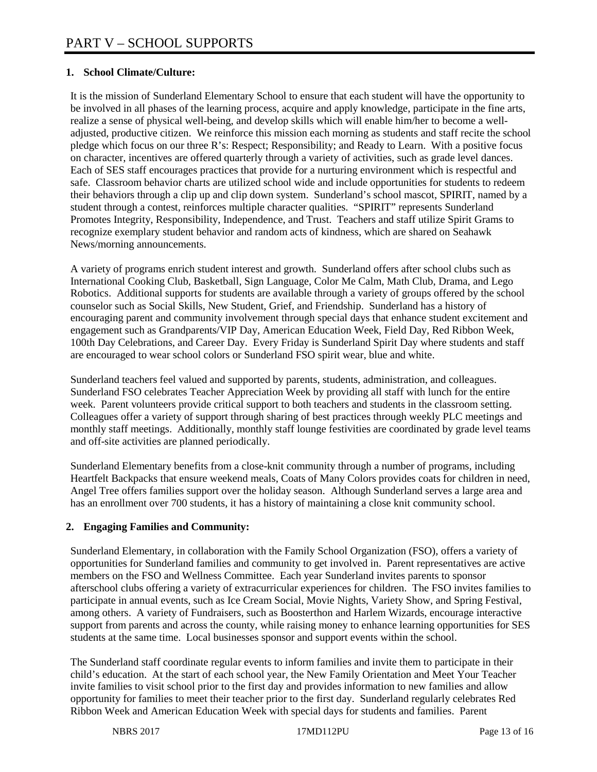# **1. School Climate/Culture:**

It is the mission of Sunderland Elementary School to ensure that each student will have the opportunity to be involved in all phases of the learning process, acquire and apply knowledge, participate in the fine arts, realize a sense of physical well-being, and develop skills which will enable him/her to become a welladjusted, productive citizen. We reinforce this mission each morning as students and staff recite the school pledge which focus on our three R's: Respect; Responsibility; and Ready to Learn. With a positive focus on character, incentives are offered quarterly through a variety of activities, such as grade level dances. Each of SES staff encourages practices that provide for a nurturing environment which is respectful and safe. Classroom behavior charts are utilized school wide and include opportunities for students to redeem their behaviors through a clip up and clip down system. Sunderland's school mascot, SPIRIT, named by a student through a contest, reinforces multiple character qualities. "SPIRIT" represents Sunderland Promotes Integrity, Responsibility, Independence, and Trust. Teachers and staff utilize Spirit Grams to recognize exemplary student behavior and random acts of kindness, which are shared on Seahawk News/morning announcements.

A variety of programs enrich student interest and growth. Sunderland offers after school clubs such as International Cooking Club, Basketball, Sign Language, Color Me Calm, Math Club, Drama, and Lego Robotics. Additional supports for students are available through a variety of groups offered by the school counselor such as Social Skills, New Student, Grief, and Friendship. Sunderland has a history of encouraging parent and community involvement through special days that enhance student excitement and engagement such as Grandparents/VIP Day, American Education Week, Field Day, Red Ribbon Week, 100th Day Celebrations, and Career Day. Every Friday is Sunderland Spirit Day where students and staff are encouraged to wear school colors or Sunderland FSO spirit wear, blue and white.

Sunderland teachers feel valued and supported by parents, students, administration, and colleagues. Sunderland FSO celebrates Teacher Appreciation Week by providing all staff with lunch for the entire week. Parent volunteers provide critical support to both teachers and students in the classroom setting. Colleagues offer a variety of support through sharing of best practices through weekly PLC meetings and monthly staff meetings. Additionally, monthly staff lounge festivities are coordinated by grade level teams and off-site activities are planned periodically.

Sunderland Elementary benefits from a close-knit community through a number of programs, including Heartfelt Backpacks that ensure weekend meals, Coats of Many Colors provides coats for children in need, Angel Tree offers families support over the holiday season. Although Sunderland serves a large area and has an enrollment over 700 students, it has a history of maintaining a close knit community school.

# **2. Engaging Families and Community:**

Sunderland Elementary, in collaboration with the Family School Organization (FSO), offers a variety of opportunities for Sunderland families and community to get involved in. Parent representatives are active members on the FSO and Wellness Committee. Each year Sunderland invites parents to sponsor afterschool clubs offering a variety of extracurricular experiences for children. The FSO invites families to participate in annual events, such as Ice Cream Social, Movie Nights, Variety Show, and Spring Festival, among others. A variety of Fundraisers, such as Boosterthon and Harlem Wizards, encourage interactive support from parents and across the county, while raising money to enhance learning opportunities for SES students at the same time. Local businesses sponsor and support events within the school.

The Sunderland staff coordinate regular events to inform families and invite them to participate in their child's education. At the start of each school year, the New Family Orientation and Meet Your Teacher invite families to visit school prior to the first day and provides information to new families and allow opportunity for families to meet their teacher prior to the first day. Sunderland regularly celebrates Red Ribbon Week and American Education Week with special days for students and families. Parent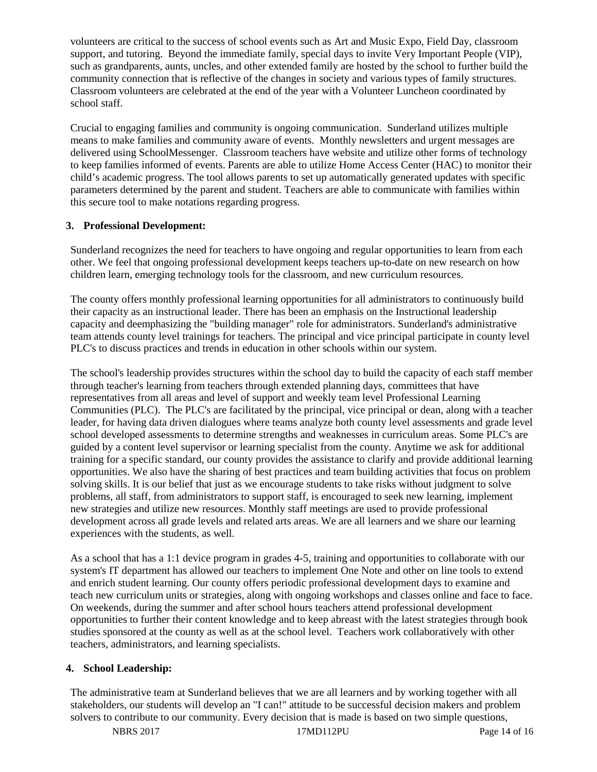volunteers are critical to the success of school events such as Art and Music Expo, Field Day, classroom support, and tutoring. Beyond the immediate family, special days to invite Very Important People (VIP), such as grandparents, aunts, uncles, and other extended family are hosted by the school to further build the community connection that is reflective of the changes in society and various types of family structures. Classroom volunteers are celebrated at the end of the year with a Volunteer Luncheon coordinated by school staff.

Crucial to engaging families and community is ongoing communication. Sunderland utilizes multiple means to make families and community aware of events. Monthly newsletters and urgent messages are delivered using SchoolMessenger. Classroom teachers have website and utilize other forms of technology to keep families informed of events. Parents are able to utilize Home Access Center (HAC) to monitor their child's academic progress. The tool allows parents to set up automatically generated updates with specific parameters determined by the parent and student. Teachers are able to communicate with families within this secure tool to make notations regarding progress.

# **3. Professional Development:**

Sunderland recognizes the need for teachers to have ongoing and regular opportunities to learn from each other. We feel that ongoing professional development keeps teachers up-to-date on new research on how children learn, emerging technology tools for the classroom, and new curriculum resources.

The county offers monthly professional learning opportunities for all administrators to continuously build their capacity as an instructional leader. There has been an emphasis on the Instructional leadership capacity and deemphasizing the "building manager" role for administrators. Sunderland's administrative team attends county level trainings for teachers. The principal and vice principal participate in county level PLC's to discuss practices and trends in education in other schools within our system.

The school's leadership provides structures within the school day to build the capacity of each staff member through teacher's learning from teachers through extended planning days, committees that have representatives from all areas and level of support and weekly team level Professional Learning Communities (PLC). The PLC's are facilitated by the principal, vice principal or dean, along with a teacher leader, for having data driven dialogues where teams analyze both county level assessments and grade level school developed assessments to determine strengths and weaknesses in curriculum areas. Some PLC's are guided by a content level supervisor or learning specialist from the county. Anytime we ask for additional training for a specific standard, our county provides the assistance to clarify and provide additional learning opportunities. We also have the sharing of best practices and team building activities that focus on problem solving skills. It is our belief that just as we encourage students to take risks without judgment to solve problems, all staff, from administrators to support staff, is encouraged to seek new learning, implement new strategies and utilize new resources. Monthly staff meetings are used to provide professional development across all grade levels and related arts areas. We are all learners and we share our learning experiences with the students, as well.

As a school that has a 1:1 device program in grades 4-5, training and opportunities to collaborate with our system's IT department has allowed our teachers to implement One Note and other on line tools to extend and enrich student learning. Our county offers periodic professional development days to examine and teach new curriculum units or strategies, along with ongoing workshops and classes online and face to face. On weekends, during the summer and after school hours teachers attend professional development opportunities to further their content knowledge and to keep abreast with the latest strategies through book studies sponsored at the county as well as at the school level. Teachers work collaboratively with other teachers, administrators, and learning specialists.

# **4. School Leadership:**

The administrative team at Sunderland believes that we are all learners and by working together with all stakeholders, our students will develop an "I can!" attitude to be successful decision makers and problem solvers to contribute to our community. Every decision that is made is based on two simple questions,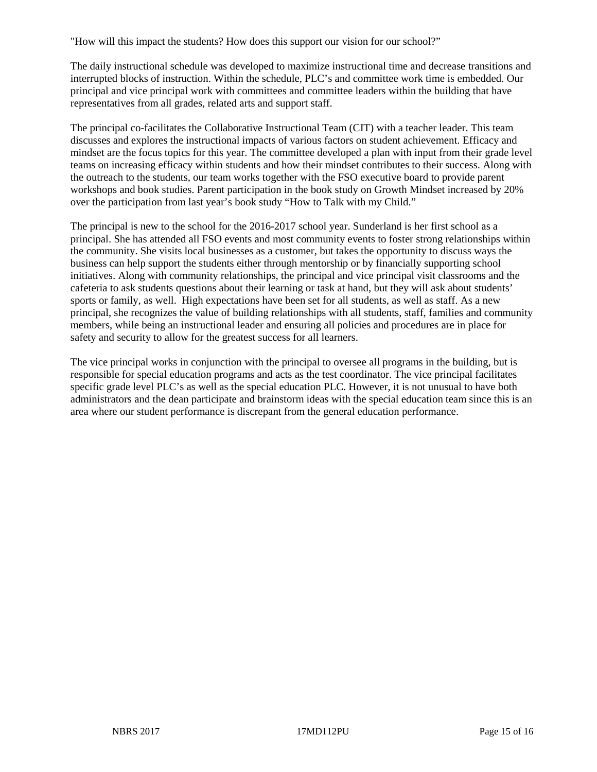"How will this impact the students? How does this support our vision for our school?"

The daily instructional schedule was developed to maximize instructional time and decrease transitions and interrupted blocks of instruction. Within the schedule, PLC's and committee work time is embedded. Our principal and vice principal work with committees and committee leaders within the building that have representatives from all grades, related arts and support staff.

The principal co-facilitates the Collaborative Instructional Team (CIT) with a teacher leader. This team discusses and explores the instructional impacts of various factors on student achievement. Efficacy and mindset are the focus topics for this year. The committee developed a plan with input from their grade level teams on increasing efficacy within students and how their mindset contributes to their success. Along with the outreach to the students, our team works together with the FSO executive board to provide parent workshops and book studies. Parent participation in the book study on Growth Mindset increased by 20% over the participation from last year's book study "How to Talk with my Child."

The principal is new to the school for the 2016-2017 school year. Sunderland is her first school as a principal. She has attended all FSO events and most community events to foster strong relationships within the community. She visits local businesses as a customer, but takes the opportunity to discuss ways the business can help support the students either through mentorship or by financially supporting school initiatives. Along with community relationships, the principal and vice principal visit classrooms and the cafeteria to ask students questions about their learning or task at hand, but they will ask about students' sports or family, as well. High expectations have been set for all students, as well as staff. As a new principal, she recognizes the value of building relationships with all students, staff, families and community members, while being an instructional leader and ensuring all policies and procedures are in place for safety and security to allow for the greatest success for all learners.

The vice principal works in conjunction with the principal to oversee all programs in the building, but is responsible for special education programs and acts as the test coordinator. The vice principal facilitates specific grade level PLC's as well as the special education PLC. However, it is not unusual to have both administrators and the dean participate and brainstorm ideas with the special education team since this is an area where our student performance is discrepant from the general education performance.